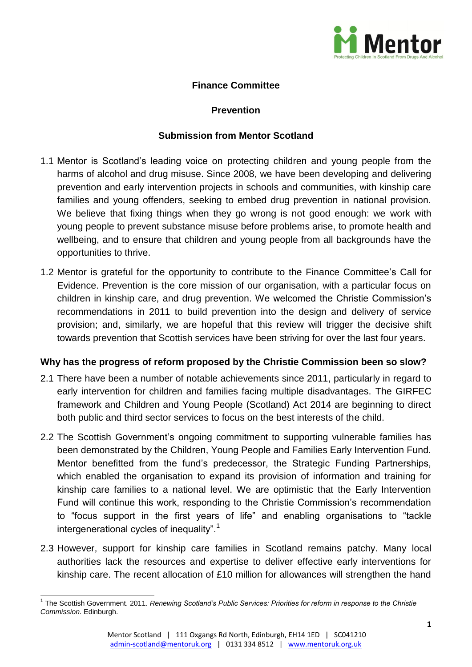

### **Finance Committee**

#### **Prevention**

#### **Submission from Mentor Scotland**

- 1.1 Mentor is Scotland's leading voice on protecting children and young people from the harms of alcohol and drug misuse. Since 2008, we have been developing and delivering prevention and early intervention projects in schools and communities, with kinship care families and young offenders, seeking to embed drug prevention in national provision. We believe that fixing things when they go wrong is not good enough: we work with young people to prevent substance misuse before problems arise, to promote health and wellbeing, and to ensure that children and young people from all backgrounds have the opportunities to thrive.
- 1.2 Mentor is grateful for the opportunity to contribute to the Finance Committee's Call for Evidence. Prevention is the core mission of our organisation, with a particular focus on children in kinship care, and drug prevention. We welcomed the Christie Commission's recommendations in 2011 to build prevention into the design and delivery of service provision; and, similarly, we are hopeful that this review will trigger the decisive shift towards prevention that Scottish services have been striving for over the last four years.

#### **Why has the progress of reform proposed by the Christie Commission been so slow?**

- 2.1 There have been a number of notable achievements since 2011, particularly in regard to early intervention for children and families facing multiple disadvantages. The GIRFEC framework and Children and Young People (Scotland) Act 2014 are beginning to direct both public and third sector services to focus on the best interests of the child.
- 2.2 The Scottish Government's ongoing commitment to supporting vulnerable families has been demonstrated by the Children, Young People and Families Early Intervention Fund. Mentor benefitted from the fund's predecessor, the Strategic Funding Partnerships, which enabled the organisation to expand its provision of information and training for kinship care families to a national level. We are optimistic that the Early Intervention Fund will continue this work, responding to the Christie Commission's recommendation to "focus support in the first years of life" and enabling organisations to "tackle intergenerational cycles of inequality".<sup>1</sup>
- 2.3 However, support for kinship care families in Scotland remains patchy. Many local authorities lack the resources and expertise to deliver effective early interventions for kinship care. The recent allocation of £10 million for allowances will strengthen the hand

 1 The Scottish Government. 2011. *Renewing Scotland's Public Services: Priorities for reform in response to the Christie Commission*. Edinburgh.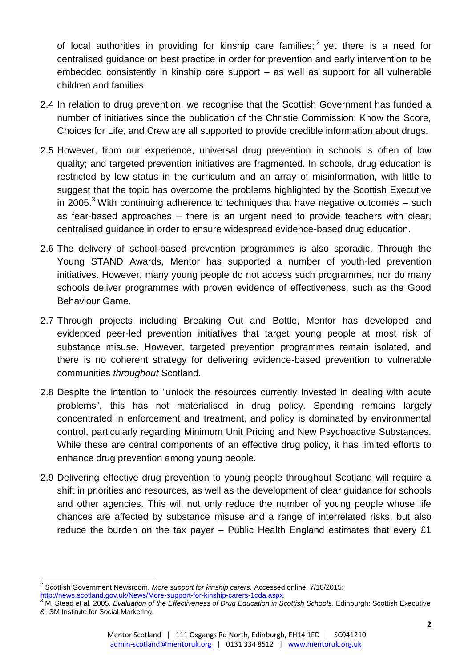of local authorities in providing for kinship care families;  $2$  yet there is a need for centralised guidance on best practice in order for prevention and early intervention to be embedded consistently in kinship care support – as well as support for all vulnerable children and families.

- 2.4 In relation to drug prevention, we recognise that the Scottish Government has funded a number of initiatives since the publication of the Christie Commission: Know the Score, Choices for Life, and Crew are all supported to provide credible information about drugs.
- 2.5 However, from our experience, universal drug prevention in schools is often of low quality; and targeted prevention initiatives are fragmented. In schools, drug education is restricted by low status in the curriculum and an array of misinformation, with little to suggest that the topic has overcome the problems highlighted by the Scottish Executive in 2005. $3$  With continuing adherence to techniques that have negative outcomes  $-$  such as fear-based approaches – there is an urgent need to provide teachers with clear, centralised guidance in order to ensure widespread evidence-based drug education.
- 2.6 The delivery of school-based prevention programmes is also sporadic. Through the Young STAND Awards, Mentor has supported a number of youth-led prevention initiatives. However, many young people do not access such programmes, nor do many schools deliver programmes with proven evidence of effectiveness, such as the Good Behaviour Game.
- 2.7 Through projects including Breaking Out and Bottle, Mentor has developed and evidenced peer-led prevention initiatives that target young people at most risk of substance misuse. However, targeted prevention programmes remain isolated, and there is no coherent strategy for delivering evidence-based prevention to vulnerable communities *throughout* Scotland.
- 2.8 Despite the intention to "unlock the resources currently invested in dealing with acute problems", this has not materialised in drug policy. Spending remains largely concentrated in enforcement and treatment, and policy is dominated by environmental control, particularly regarding Minimum Unit Pricing and New Psychoactive Substances. While these are central components of an effective drug policy, it has limited efforts to enhance drug prevention among young people.
- 2.9 Delivering effective drug prevention to young people throughout Scotland will require a shift in priorities and resources, as well as the development of clear guidance for schools and other agencies. This will not only reduce the number of young people whose life chances are affected by substance misuse and a range of interrelated risks, but also reduce the burden on the tax payer – Public Health England estimates that every £1

 2 Scottish Government Newsroom. *More support for kinship carers.* Accessed online, 7/10/2015: [http://news.scotland.gov.uk/News/More-support-for-kinship-carers-1cda.aspx.](http://news.scotland.gov.uk/News/More-support-for-kinship-carers-1cda.aspx)

<sup>&</sup>lt;sup>3</sup> M. Stead et al. 2005. *Evaluation of the Effectiveness of Drug Education in Scottish Schools. Edinburgh: Scottish Executive* & ISM Institute for Social Marketing.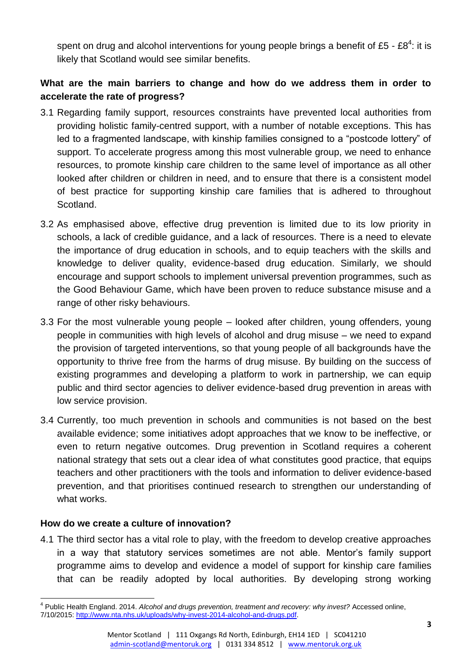spent on drug and alcohol interventions for young people brings a benefit of £5 - £8<sup>4</sup>: it is likely that Scotland would see similar benefits.

# **What are the main barriers to change and how do we address them in order to accelerate the rate of progress?**

- 3.1 Regarding family support, resources constraints have prevented local authorities from providing holistic family-centred support, with a number of notable exceptions. This has led to a fragmented landscape, with kinship families consigned to a "postcode lottery" of support. To accelerate progress among this most vulnerable group, we need to enhance resources, to promote kinship care children to the same level of importance as all other looked after children or children in need, and to ensure that there is a consistent model of best practice for supporting kinship care families that is adhered to throughout Scotland.
- 3.2 As emphasised above, effective drug prevention is limited due to its low priority in schools, a lack of credible guidance, and a lack of resources. There is a need to elevate the importance of drug education in schools, and to equip teachers with the skills and knowledge to deliver quality, evidence-based drug education. Similarly, we should encourage and support schools to implement universal prevention programmes, such as the Good Behaviour Game, which have been proven to reduce substance misuse and a range of other risky behaviours.
- 3.3 For the most vulnerable young people looked after children, young offenders, young people in communities with high levels of alcohol and drug misuse – we need to expand the provision of targeted interventions, so that young people of all backgrounds have the opportunity to thrive free from the harms of drug misuse. By building on the success of existing programmes and developing a platform to work in partnership, we can equip public and third sector agencies to deliver evidence-based drug prevention in areas with low service provision.
- 3.4 Currently, too much prevention in schools and communities is not based on the best available evidence; some initiatives adopt approaches that we know to be ineffective, or even to return negative outcomes. Drug prevention in Scotland requires a coherent national strategy that sets out a clear idea of what constitutes good practice, that equips teachers and other practitioners with the tools and information to deliver evidence-based prevention, and that prioritises continued research to strengthen our understanding of what works.

#### **How do we create a culture of innovation?**

4.1 The third sector has a vital role to play, with the freedom to develop creative approaches in a way that statutory services sometimes are not able. Mentor's family support programme aims to develop and evidence a model of support for kinship care families that can be readily adopted by local authorities. By developing strong working

 $\overline{\phantom{a}}$ <sup>4</sup> Public Health England. 2014. Alcohol and drugs prevention, treatment and recovery: why invest? Accessed online, 7/10/2015: [http://www.nta.nhs.uk/uploads/why-invest-2014-alcohol-and-drugs.pdf.](http://www.nta.nhs.uk/uploads/why-invest-2014-alcohol-and-drugs.pdf)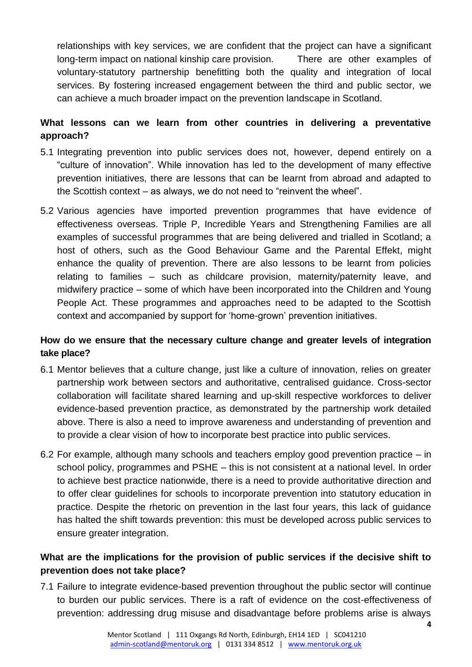relationships with key services, we are confident that the project can have a significant long-term impact on national kinship care provision. There are other examples of voluntary-statutory partnership benefitting both the quality and integration of local services. By fostering increased engagement between the third and public sector, we can achieve a much broader impact on the prevention landscape in Scotland.

# **What lessons can we learn from other countries in delivering a preventative approach?**

- 5.1 Integrating prevention into public services does not, however, depend entirely on a "culture of innovation". While innovation has led to the development of many effective prevention initiatives, there are lessons that can be learnt from abroad and adapted to the Scottish context – as always, we do not need to "reinvent the wheel".
- 5.2 Various agencies have imported prevention programmes that have evidence of effectiveness overseas. Triple P, Incredible Years and Strengthening Families are all examples of successful programmes that are being delivered and trialled in Scotland; a host of others, such as the Good Behaviour Game and the Parental Effekt, might enhance the quality of prevention. There are also lessons to be learnt from policies relating to families – such as childcare provision, maternity/paternity leave, and midwifery practice – some of which have been incorporated into the Children and Young People Act. These programmes and approaches need to be adapted to the Scottish context and accompanied by support for 'home-grown' prevention initiatives.

## **How do we ensure that the necessary culture change and greater levels of integration take place?**

- 6.1 Mentor believes that a culture change, just like a culture of innovation, relies on greater partnership work between sectors and authoritative, centralised guidance. Cross-sector collaboration will facilitate shared learning and up-skill respective workforces to deliver evidence-based prevention practice, as demonstrated by the partnership work detailed above. There is also a need to improve awareness and understanding of prevention and to provide a clear vision of how to incorporate best practice into public services.
- 6.2 For example, although many schools and teachers employ good prevention practice in school policy, programmes and PSHE – this is not consistent at a national level. In order to achieve best practice nationwide, there is a need to provide authoritative direction and to offer clear guidelines for schools to incorporate prevention into statutory education in practice. Despite the rhetoric on prevention in the last four years, this lack of guidance has halted the shift towards prevention: this must be developed across public services to ensure greater integration.

## **What are the implications for the provision of public services if the decisive shift to prevention does not take place?**

7.1 Failure to integrate evidence-based prevention throughout the public sector will continue to burden our public services. There is a raft of evidence on the cost-effectiveness of prevention: addressing drug misuse and disadvantage before problems arise is always